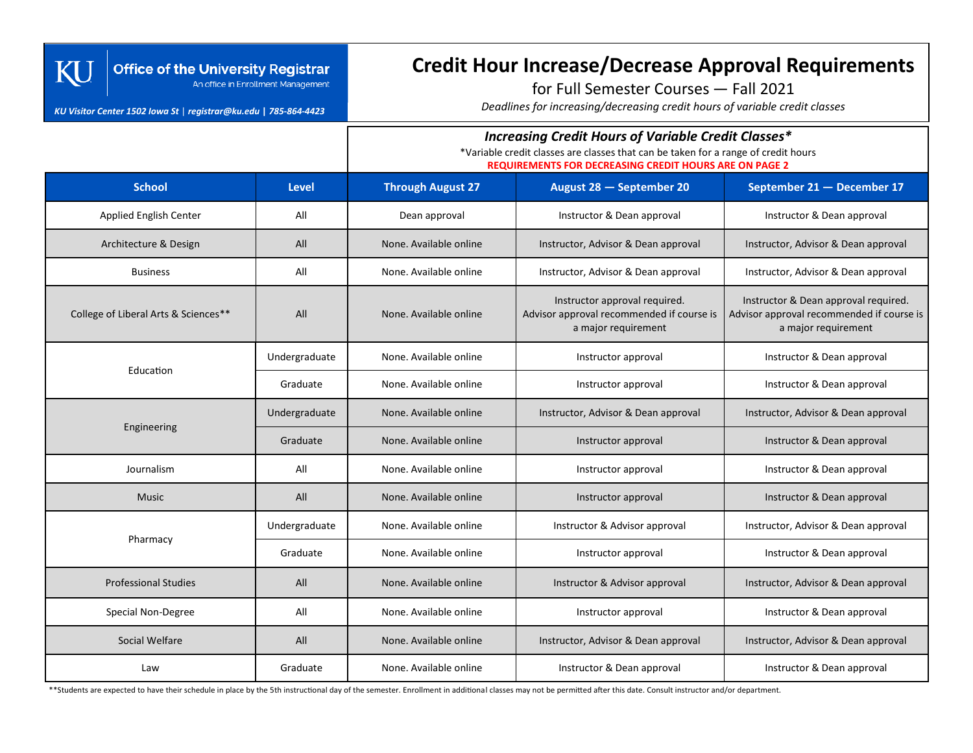### **Office of the University Registrar** An office in Enrollment Management

#### *KU Visitor Center 1502 Iowa St* | *registrar@ku.edu* **|** *785-864-4423*

KU

# **Credit Hour Increase/Decrease Approval Requirements**

for Full Semester Courses — Fall 2021

*Deadlines for increasing/decreasing credit hours of variable credit classes*

## *Increasing Credit Hours of Variable Credit Classes\**

\*Variable credit classes are classes that can be taken for a range of credit hours

**REQUIREMENTS FOR DECREASING CREDIT HOURS ARE ON PAGE 2**

| <b>School</b>                        | <b>Level</b>  | <b>Through August 27</b> | August 28 - September 20                                                                          | September 21 - December 17                                                                               |
|--------------------------------------|---------------|--------------------------|---------------------------------------------------------------------------------------------------|----------------------------------------------------------------------------------------------------------|
| Applied English Center               | All           | Dean approval            | Instructor & Dean approval                                                                        | Instructor & Dean approval                                                                               |
| Architecture & Design                | All           | None. Available online   | Instructor, Advisor & Dean approval                                                               | Instructor, Advisor & Dean approval                                                                      |
| <b>Business</b>                      | All           | None. Available online   | Instructor, Advisor & Dean approval                                                               | Instructor, Advisor & Dean approval                                                                      |
| College of Liberal Arts & Sciences** | All           | None. Available online   | Instructor approval required.<br>Advisor approval recommended if course is<br>a major requirement | Instructor & Dean approval required.<br>Advisor approval recommended if course is<br>a major requirement |
| Education                            | Undergraduate | None. Available online   | Instructor approval                                                                               | Instructor & Dean approval                                                                               |
|                                      | Graduate      | None. Available online   | Instructor approval                                                                               | Instructor & Dean approval                                                                               |
| Engineering                          | Undergraduate | None. Available online   | Instructor, Advisor & Dean approval                                                               | Instructor, Advisor & Dean approval                                                                      |
|                                      | Graduate      | None. Available online   | Instructor approval                                                                               | Instructor & Dean approval                                                                               |
| Journalism                           | All           | None. Available online   | Instructor approval                                                                               | Instructor & Dean approval                                                                               |
| <b>Music</b>                         | All           | None. Available online   | Instructor approval                                                                               | Instructor & Dean approval                                                                               |
| Pharmacy                             | Undergraduate | None. Available online   | Instructor & Advisor approval                                                                     | Instructor, Advisor & Dean approval                                                                      |
|                                      | Graduate      | None. Available online   | Instructor approval                                                                               | Instructor & Dean approval                                                                               |
| <b>Professional Studies</b>          | All           | None. Available online   | Instructor & Advisor approval                                                                     | Instructor, Advisor & Dean approval                                                                      |
| Special Non-Degree                   | All           | None. Available online   | Instructor approval                                                                               | Instructor & Dean approval                                                                               |
| Social Welfare                       | All           | None. Available online   | Instructor, Advisor & Dean approval                                                               | Instructor, Advisor & Dean approval                                                                      |
| Law                                  | Graduate      | None. Available online   | Instructor & Dean approval                                                                        | Instructor & Dean approval                                                                               |

\*\*Students are expected to have their schedule in place by the 5th instructional day of the semester. Enrollment in additional classes may not be permitted after this date. Consult instructor and/or department.